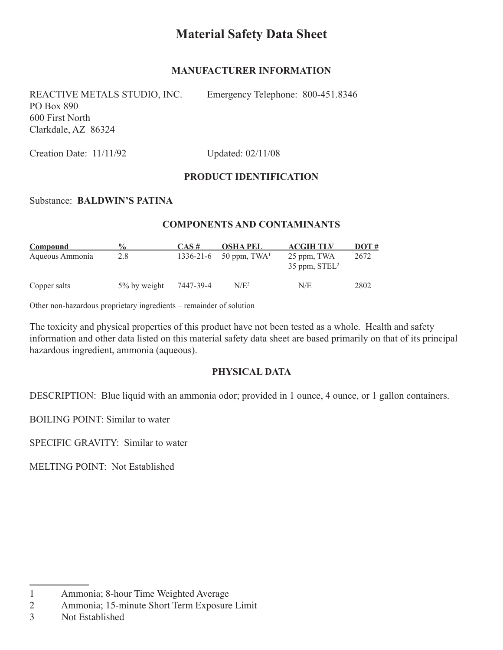# **Material Safety Data Sheet**

#### **manufacturer information**

REACTIVE METALS STUDIO, INC. Emergency Telephone: 800-451.8346 PO Box 890 600 First North Clarkdale, AZ 86324

Creation Date: 11/11/92 Updated: 02/11/08

#### **product identification**

#### Substance: **baldwin's patina**

#### **Components and contaminants**

| Compound        | $\frac{6}{9}$ | $CAS \#$  | <b>OSHA PEL</b> | <b>ACGIH TLV</b>                           | $DOT #$ |
|-----------------|---------------|-----------|-----------------|--------------------------------------------|---------|
| Aqueous Ammonia | 2.8           | 1336-21-6 | 50 ppm, $TWA1$  | 25 ppm, TWA<br>$35$ ppm, STEL <sup>2</sup> | 2672    |
| Copper salts    | 5% by weight  | 7447-39-4 | $N/E^3$         | N/E                                        | 2802    |

Other non-hazardous proprietary ingredients – remainder of solution

The toxicity and physical properties of this product have not been tested as a whole. Health and safety information and other data listed on this material safety data sheet are based primarily on that of its principal hazardous ingredient, ammonia (aqueous).

#### **physical data**

DESCRIPTION: Blue liquid with an ammonia odor; provided in 1 ounce, 4 ounce, or 1 gallon containers.

BOILING POINT: Similar to water

SPECIFIC GRAVITY: Similar to water

MELTING POINT: Not Established

<sup>1</sup> Ammonia; 8-hour Time Weighted Average

<sup>2</sup> Ammonia; 15-minute Short Term Exposure Limit

<sup>3</sup> Not Established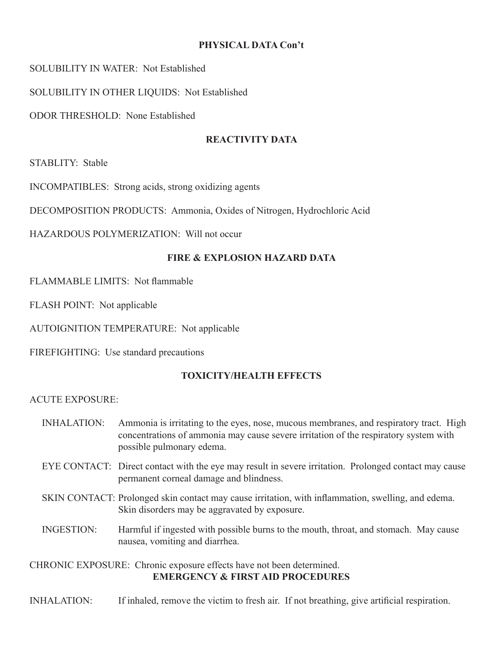### **PHYSICAL DATA Con't**

SOLUBILITY IN WATER: Not Established

SOLUBILITY IN OTHER LIQUIDS: Not Established

ODOR THRESHOLD: None Established

# **reactivity data**

STABLITY: Stable

INCOMPATIBLES: Strong acids, strong oxidizing agents

DECOMPOSITION PRODUCTS: Ammonia, Oxides of Nitrogen, Hydrochloric Acid

HAZARDOUS POLYMERIZATION: Will not occur

# **fire & explosion hazard data**

FLAMMABLE LIMITS: Not flammable

FLASH POINT: Not applicable

AUTOIGNITION TEMPERATURE: Not applicable

FIREFIGHTING: Use standard precautions

# **toxicity/health effects**

### ACUTE EXPOSURE:

- INHALATION: Ammonia is irritating to the eyes, nose, mucous membranes, and respiratory tract. High concentrations of ammonia may cause severe irritation of the respiratory system with possible pulmonary edema.
- EYE CONTACT: Direct contact with the eye may result in severe irritation. Prolonged contact may cause permanent corneal damage and blindness.
- SKIN CONTACT: Prolonged skin contact may cause irritation, with inflammation, swelling, and edema. Skin disorders may be aggravated by exposure.
- INGESTION: Harmful if ingested with possible burns to the mouth, throat, and stomach. May cause nausea, vomiting and diarrhea.

# CHRONIC EXPOSURE: Chronic exposure effects have not been determined. **emergency & first aid procedures**

INHALATION: If inhaled, remove the victim to fresh air. If not breathing, give artificial respiration.